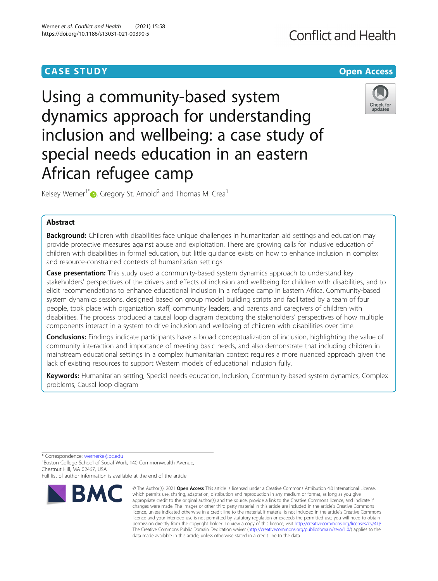## **CASE STUDY CASE STUDY Open Access**

# Using a community-based system dynamics approach for understanding inclusion and wellbeing: a case study of special needs education in an eastern African refugee camp

Kelsey Werner<sup>1[\\*](http://orcid.org/0000-0002-8971-6288)</sup> $\bullet$ , Gregory St. Arnold<sup>2</sup> and Thomas M. Crea<sup>1</sup>

### Abstract

Background: Children with disabilities face unique challenges in humanitarian aid settings and education may provide protective measures against abuse and exploitation. There are growing calls for inclusive education of children with disabilities in formal education, but little guidance exists on how to enhance inclusion in complex and resource-constrained contexts of humanitarian settings.

Case presentation: This study used a community-based system dynamics approach to understand key stakeholders' perspectives of the drivers and effects of inclusion and wellbeing for children with disabilities, and to elicit recommendations to enhance educational inclusion in a refugee camp in Eastern Africa. Community-based system dynamics sessions, designed based on group model building scripts and facilitated by a team of four people, took place with organization staff, community leaders, and parents and caregivers of children with disabilities. The process produced a causal loop diagram depicting the stakeholders' perspectives of how multiple components interact in a system to drive inclusion and wellbeing of children with disabilities over time.

**Conclusions:** Findings indicate participants have a broad conceptualization of inclusion, highlighting the value of community interaction and importance of meeting basic needs, and also demonstrate that including children in mainstream educational settings in a complex humanitarian context requires a more nuanced approach given the lack of existing resources to support Western models of educational inclusion fully.

Keywords: Humanitarian setting, Special needs education, Inclusion, Community-based system dynamics, Complex problems, Causal loop diagram

data made available in this article, unless otherwise stated in a credit line to the data.

\* Correspondence: [wernerke@bc.edu](mailto:wernerke@bc.edu) <sup>1</sup>

**BMC** 

<sup>1</sup>Boston College School of Social Work, 140 Commonwealth Avenue, Chestnut Hill, MA 02467, USA

Full list of author information is available at the end of the article



## **Conflict and Health**



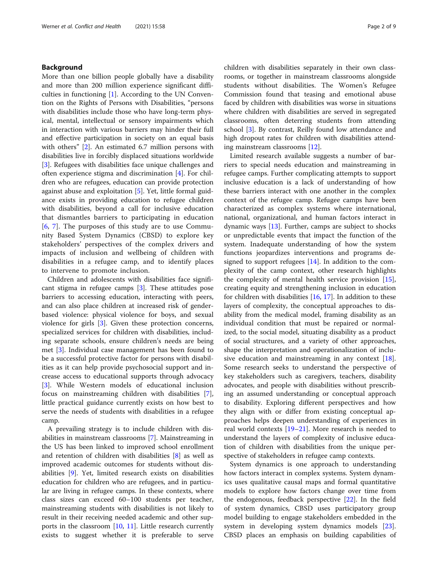#### Background

More than one billion people globally have a disability and more than 200 million experience significant difficulties in functioning  $[1]$  $[1]$ . According to the UN Convention on the Rights of Persons with Disabilities, "persons with disabilities include those who have long-term physical, mental, intellectual or sensory impairments which in interaction with various barriers may hinder their full and effective participation in society on an equal basis with others" [[2\]](#page-8-0). An estimated 6.7 million persons with disabilities live in forcibly displaced situations worldwide [[3\]](#page-8-0). Refugees with disabilities face unique challenges and often experience stigma and discrimination [[4](#page-8-0)]. For children who are refugees, education can provide protection against abuse and exploitation [\[5](#page-8-0)]. Yet, little formal guidance exists in providing education to refugee children with disabilities, beyond a call for inclusive education that dismantles barriers to participating in education [[6,](#page-8-0) [7](#page-8-0)]. The purposes of this study are to use Community Based System Dynamics (CBSD) to explore key stakeholders' perspectives of the complex drivers and impacts of inclusion and wellbeing of children with disabilities in a refugee camp, and to identify places to intervene to promote inclusion.

Children and adolescents with disabilities face significant stigma in refugee camps [\[3](#page-8-0)]. These attitudes pose barriers to accessing education, interacting with peers, and can also place children at increased risk of genderbased violence: physical violence for boys, and sexual violence for girls [[3\]](#page-8-0). Given these protection concerns, specialized services for children with disabilities, including separate schools, ensure children's needs are being met [\[3](#page-8-0)]. Individual case management has been found to be a successful protective factor for persons with disabilities as it can help provide psychosocial support and increase access to educational supports through advocacy [[3\]](#page-8-0). While Western models of educational inclusion focus on mainstreaming children with disabilities [\[7](#page-8-0)], little practical guidance currently exists on how best to serve the needs of students with disabilities in a refugee camp.

A prevailing strategy is to include children with disabilities in mainstream classrooms [\[7](#page-8-0)]. Mainstreaming in the US has been linked to improved school enrollment and retention of children with disabilities [[8\]](#page-8-0) as well as improved academic outcomes for students without disabilities [[9\]](#page-8-0). Yet, limited research exists on disabilities education for children who are refugees, and in particular are living in refugee camps. In these contexts, where class sizes can exceed 60–100 students per teacher, mainstreaming students with disabilities is not likely to result in their receiving needed academic and other supports in the classroom [[10,](#page-8-0) [11](#page-8-0)]. Little research currently exists to suggest whether it is preferable to serve children with disabilities separately in their own classrooms, or together in mainstream classrooms alongside students without disabilities. The Women's Refugee Commission found that teasing and emotional abuse faced by children with disabilities was worse in situations where children with disabilities are served in segregated classrooms, often deterring students from attending school [[3\]](#page-8-0). By contrast, Reilly found low attendance and high dropout rates for children with disabilities attending mainstream classrooms [\[12](#page-8-0)].

Limited research available suggests a number of barriers to special needs education and mainstreaming in refugee camps. Further complicating attempts to support inclusive education is a lack of understanding of how these barriers interact with one another in the complex context of the refugee camp. Refugee camps have been characterized as complex systems where international, national, organizational, and human factors interact in dynamic ways [\[13](#page-8-0)]. Further, camps are subject to shocks or unpredictable events that impact the function of the system. Inadequate understanding of how the system functions jeopardizes interventions and programs designed to support refugees  $[14]$  $[14]$ . In addition to the complexity of the camp context, other research highlights the complexity of mental health service provision [\[15](#page-8-0)], creating equity and strengthening inclusion in education for children with disabilities  $[16, 17]$  $[16, 17]$  $[16, 17]$ . In addition to these layers of complexity, the conceptual approaches to disability from the medical model, framing disability as an individual condition that must be repaired or normalized, to the social model, situating disability as a product of social structures, and a variety of other approaches, shape the interpretation and operationalization of inclusive education and mainstreaming in any context [\[18](#page-8-0)]. Some research seeks to understand the perspective of key stakeholders such as caregivers, teachers, disability advocates, and people with disabilities without prescribing an assumed understanding or conceptual approach to disability. Exploring different perspectives and how they align with or differ from existing conceptual approaches helps deepen understanding of experiences in real world contexts [[19](#page-8-0)–[21](#page-8-0)]. More research is needed to understand the layers of complexity of inclusive education of children with disabilities from the unique perspective of stakeholders in refugee camp contexts.

System dynamics is one approach to understanding how factors interact in complex systems. System dynamics uses qualitative causal maps and formal quantitative models to explore how factors change over time from the endogenous, feedback perspective [[22\]](#page-8-0). In the field of system dynamics, CBSD uses participatory group model building to engage stakeholders embedded in the system in developing system dynamics models [\[23](#page-8-0)]. CBSD places an emphasis on building capabilities of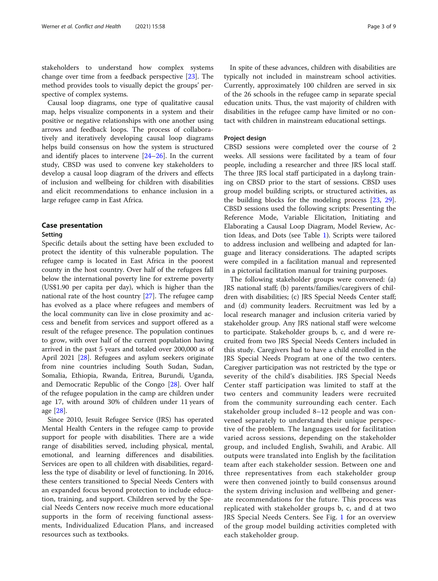stakeholders to understand how complex systems change over time from a feedback perspective [[23](#page-8-0)]. The method provides tools to visually depict the groups' perspective of complex systems.

Causal loop diagrams, one type of qualitative causal map, helps visualize components in a system and their positive or negative relationships with one another using arrows and feedback loops. The process of collaboratively and iteratively developing causal loop diagrams helps build consensus on how the system is structured and identify places to intervene  $[24-26]$  $[24-26]$  $[24-26]$ . In the current study, CBSD was used to convene key stakeholders to develop a causal loop diagram of the drivers and effects of inclusion and wellbeing for children with disabilities and elicit recommendations to enhance inclusion in a large refugee camp in East Africa.

#### Case presentation

#### Setting

Specific details about the setting have been excluded to protect the identity of this vulnerable population. The refugee camp is located in East Africa in the poorest county in the host country. Over half of the refugees fall below the international poverty line for extreme poverty (US\$1.90 per capita per day), which is higher than the national rate of the host country [[27](#page-8-0)]. The refugee camp has evolved as a place where refugees and members of the local community can live in close proximity and access and benefit from services and support offered as a result of the refugee presence. The population continues to grow, with over half of the current population having arrived in the past 5 years and totaled over 200,000 as of April 2021 [\[28\]](#page-8-0). Refugees and asylum seekers originate from nine countries including South Sudan, Sudan, Somalia, Ethiopia, Rwanda, Eritrea, Burundi, Uganda, and Democratic Republic of the Congo [\[28](#page-8-0)]. Over half of the refugee population in the camp are children under age 17, with around 30% of children under 11 years of age [\[28](#page-8-0)].

Since 2010, Jesuit Refugee Service (JRS) has operated Mental Health Centers in the refugee camp to provide support for people with disabilities. There are a wide range of disabilities served, including physical, mental, emotional, and learning differences and disabilities. Services are open to all children with disabilities, regardless the type of disability or level of functioning. In 2016, these centers transitioned to Special Needs Centers with an expanded focus beyond protection to include education, training, and support. Children served by the Special Needs Centers now receive much more educational supports in the form of receiving functional assessments, Individualized Education Plans, and increased resources such as textbooks.

In spite of these advances, children with disabilities are typically not included in mainstream school activities. Currently, approximately 100 children are served in six of the 26 schools in the refugee camp in separate special education units. Thus, the vast majority of children with disabilities in the refugee camp have limited or no contact with children in mainstream educational settings.

#### Project design

CBSD sessions were completed over the course of 2 weeks. All sessions were facilitated by a team of four people, including a researcher and three JRS local staff. The three JRS local staff participated in a daylong training on CBSD prior to the start of sessions. CBSD uses group model building scripts, or structured activities, as the building blocks for the modeling process [[23,](#page-8-0) [29](#page-8-0)]. CBSD sessions used the following scripts: Presenting the Reference Mode, Variable Elicitation, Initiating and Elaborating a Causal Loop Diagram, Model Review, Action Ideas, and Dots (see Table [1](#page-3-0)). Scripts were tailored to address inclusion and wellbeing and adapted for language and literacy considerations. The adapted scripts were compiled in a facilitation manual and represented in a pictorial facilitation manual for training purposes.

The following stakeholder groups were convened: (a) JRS national staff; (b) parents/families/caregivers of children with disabilities; (c) JRS Special Needs Center staff; and (d) community leaders. Recruitment was led by a local research manager and inclusion criteria varied by stakeholder group. Any JRS national staff were welcome to participate. Stakeholder groups b, c, and d were recruited from two JRS Special Needs Centers included in this study. Caregivers had to have a child enrolled in the JRS Special Needs Program at one of the two centers. Caregiver participation was not restricted by the type or severity of the child's disabilities. JRS Special Needs Center staff participation was limited to staff at the two centers and community leaders were recruited from the community surrounding each center. Each stakeholder group included 8–12 people and was convened separately to understand their unique perspective of the problem. The languages used for facilitation varied across sessions, depending on the stakeholder group, and included English, Swahili, and Arabic. All outputs were translated into English by the facilitation team after each stakeholder session. Between one and three representatives from each stakeholder group were then convened jointly to build consensus around the system driving inclusion and wellbeing and generate recommendations for the future. This process was replicated with stakeholder groups b, c, and d at two JRS Special Needs Centers. See Fig. [1](#page-3-0) for an overview of the group model building activities completed with each stakeholder group.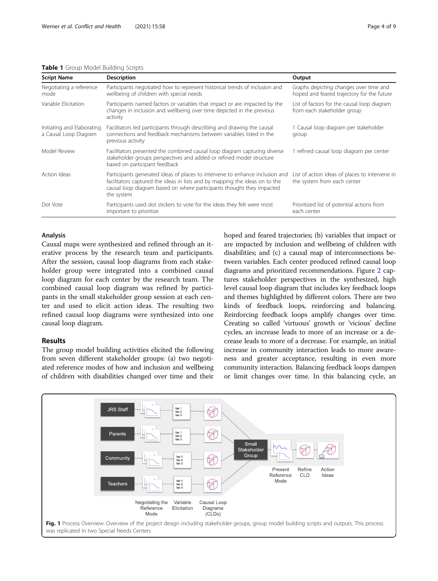#### <span id="page-3-0"></span>Table 1 Group Model Building Scripts

| <b>Script Name</b>                                  | <b>Description</b>                                                                                                                                                                                                                                 | Output                                                                               |
|-----------------------------------------------------|----------------------------------------------------------------------------------------------------------------------------------------------------------------------------------------------------------------------------------------------------|--------------------------------------------------------------------------------------|
| Negotiating a reference<br>mode                     | Participants negotiated how to represent historical trends of inclusion and<br>wellbeing of children with special needs                                                                                                                            | Graphs depicting changes over time and<br>hoped and feared trajectory for the future |
| Variable Elicitation                                | Participants named factors or variables that impact or are impacted by the<br>changes in inclusion and wellbeing over time depicted in the previous<br>activity                                                                                    | List of factors for the causal loop diagram<br>from each stakeholder group           |
| Initiating and Elaborating<br>a Causal Loop Diagram | Facilitators led participants through describing and drawing the causal<br>connections and feedback mechanisms between variables listed in the<br>previous activity                                                                                | 1 Causal loop diagram per stakeholder<br>group                                       |
| Model Review                                        | Facilitators presented the combined causal loop diagram capturing diverse<br>stakeholder groups perspectives and added or refined model structure<br>based on participant feedback                                                                 | 1 refined causal loop diagram per center                                             |
| Action Ideas                                        | Participants generated ideas of places to intervene to enhance inclusion and<br>facilitators captured the ideas in lists and by mapping the ideas on to the<br>causal loop diagram based on where participants thought they impacted<br>the system | List of action ideas of places to intervene in<br>the system from each center        |
| Dot Vote                                            | Participants used dot stickers to vote for the ideas they felt were most<br>important to prioritize                                                                                                                                                | Prioritized list of potential actions from<br>each center                            |

#### Analysis

Causal maps were synthesized and refined through an iterative process by the research team and participants. After the session, causal loop diagrams from each stakeholder group were integrated into a combined causal loop diagram for each center by the research team. The combined causal loop diagram was refined by participants in the small stakeholder group session at each center and used to elicit action ideas. The resulting two refined causal loop diagrams were synthesized into one causal loop diagram.

#### Results

The group model building activities elicited the following from seven different stakeholder groups: (a) two negotiated reference modes of how and inclusion and wellbeing of children with disabilities changed over time and their hoped and feared trajectories; (b) variables that impact or are impacted by inclusion and wellbeing of children with disabilities; and (c) a causal map of interconnections between variables. Each center produced refined causal loop diagrams and prioritized recommendations. Figure [2](#page-4-0) captures stakeholder perspectives in the synthesized, high level causal loop diagram that includes key feedback loops and themes highlighted by different colors. There are two kinds of feedback loops, reinforcing and balancing. Reinforcing feedback loops amplify changes over time. Creating so called 'virtuous' growth or 'vicious' decline cycles, an increase leads to more of an increase or a decrease leads to more of a decrease. For example, an initial increase in community interaction leads to more awareness and greater acceptance, resulting in even more community interaction. Balancing feedback loops dampen or limit changes over time. In this balancing cycle, an

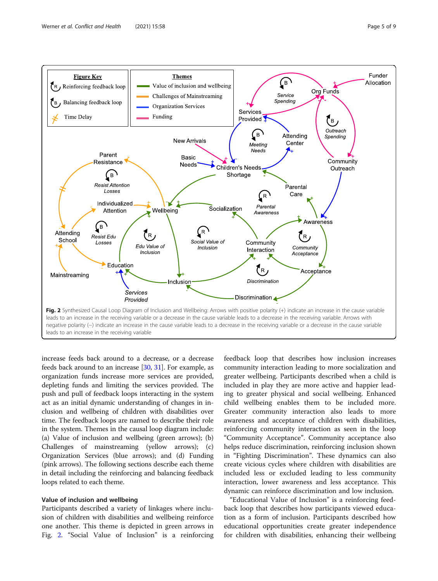<span id="page-4-0"></span>

increase feeds back around to a decrease, or a decrease feeds back around to an increase [\[30,](#page-8-0) [31](#page-8-0)]. For example, as organization funds increase more services are provided, depleting funds and limiting the services provided. The push and pull of feedback loops interacting in the system act as an initial dynamic understanding of changes in inclusion and wellbeing of children with disabilities over time. The feedback loops are named to describe their role in the system. Themes in the causal loop diagram include: (a) Value of inclusion and wellbeing (green arrows); (b) Challenges of mainstreaming (yellow arrows); (c) Organization Services (blue arrows); and (d) Funding (pink arrows). The following sections describe each theme in detail including the reinforcing and balancing feedback loops related to each theme.

#### Value of inclusion and wellbeing

Participants described a variety of linkages where inclusion of children with disabilities and wellbeing reinforce one another. This theme is depicted in green arrows in Fig. 2. "Social Value of Inclusion" is a reinforcing

feedback loop that describes how inclusion increases community interaction leading to more socialization and greater wellbeing. Participants described when a child is included in play they are more active and happier leading to greater physical and social wellbeing. Enhanced child wellbeing enables them to be included more. Greater community interaction also leads to more awareness and acceptance of children with disabilities, reinforcing community interaction as seen in the loop "Community Acceptance". Community acceptance also helps reduce discrimination, reinforcing inclusion shown in "Fighting Discrimination". These dynamics can also create vicious cycles where children with disabilities are included less or excluded leading to less community interaction, lower awareness and less acceptance. This dynamic can reinforce discrimination and low inclusion.

"Educational Value of Inclusion" is a reinforcing feedback loop that describes how participants viewed education as a form of inclusion. Participants described how educational opportunities create greater independence for children with disabilities, enhancing their wellbeing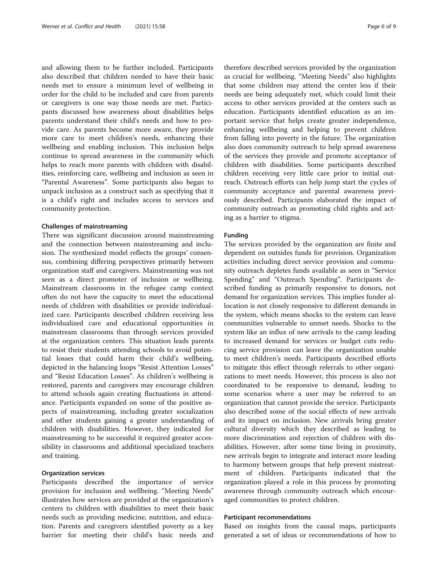and allowing them to be further included. Participants also described that children needed to have their basic needs met to ensure a minimum level of wellbeing in order for the child to be included and care from parents or caregivers is one way those needs are met. Participants discussed how awareness about disabilities helps parents understand their child's needs and how to provide care. As parents become more aware, they provide more care to meet children's needs, enhancing their wellbeing and enabling inclusion. This inclusion helps continue to spread awareness in the community which helps to reach more parents with children with disabilities, reinforcing care, wellbeing and inclusion as seen in "Parental Awareness". Some participants also began to unpack inclusion as a construct such as specifying that it is a child's right and includes access to services and community protection.

#### Challenges of mainstreaming

There was significant discussion around mainstreaming and the connection between mainstreaming and inclusion. The synthesized model reflects the groups' consensus, combining differing perspectives primarily between organization staff and caregivers. Mainstreaming was not seen as a direct promoter of inclusion or wellbeing. Mainstream classrooms in the refugee camp context often do not have the capacity to meet the educational needs of children with disabilities or provide individualized care. Participants described children receiving less individualized care and educational opportunities in mainstream classrooms than through services provided at the organization centers. This situation leads parents to resist their students attending schools to avoid potential losses that could harm their child's wellbeing, depicted in the balancing loops "Resist Attention Losses" and "Resist Education Losses". As children's wellbeing is restored, parents and caregivers may encourage children to attend schools again creating fluctuations in attendance. Participants expanded on some of the positive aspects of mainstreaming, including greater socialization and other students gaining a greater understanding of children with disabilities. However, they indicated for mainstreaming to be successful it required greater accessibility in classrooms and additional specialized teachers and training.

#### Organization services

Participants described the importance of service provision for inclusion and wellbeing. "Meeting Needs" illustrates how services are provided at the organization's centers to children with disabilities to meet their basic needs such as providing medicine, nutrition, and education. Parents and caregivers identified poverty as a key barrier for meeting their child's basic needs and

therefore described services provided by the organization as crucial for wellbeing. "Meeting Needs" also highlights that some children may attend the center less if their needs are being adequately met, which could limit their access to other services provided at the centers such as education. Participants identified education as an important service that helps create greater independence, enhancing wellbeing and helping to prevent children from falling into poverty in the future. The organization also does community outreach to help spread awareness of the services they provide and promote acceptance of children with disabilities. Some participants described children receiving very little care prior to initial outreach. Outreach efforts can help jump start the cycles of community acceptance and parental awareness previously described. Participants elaborated the impact of community outreach as promoting child rights and acting as a barrier to stigma.

#### Funding

The services provided by the organization are finite and dependent on outsides funds for provision. Organization activities including direct service provision and community outreach depletes funds available as seen in "Service Spending" and "Outreach Spending". Participants described funding as primarily responsive to donors, not demand for organization services. This implies funder allocation is not closely responsive to different demands in the system, which means shocks to the system can leave communities vulnerable to unmet needs. Shocks to the system like an influx of new arrivals to the camp leading to increased demand for services or budget cuts reducing service provision can leave the organization unable to meet children's needs. Participants described efforts to mitigate this effect through referrals to other organizations to meet needs. However, this process is also not coordinated to be responsive to demand, leading to some scenarios where a user may be referred to an organization that cannot provide the service. Participants also described some of the social effects of new arrivals and its impact on inclusion. New arrivals bring greater cultural diversity which they described as leading to more discrimination and rejection of children with disabilities. However, after some time living in proximity, new arrivals begin to integrate and interact more leading to harmony between groups that help prevent mistreatment of children. Participants indicated that the organization played a role in this process by promoting awareness through community outreach which encouraged communities to protect children.

#### Participant recommendations

Based on insights from the causal maps, participants generated a set of ideas or recommendations of how to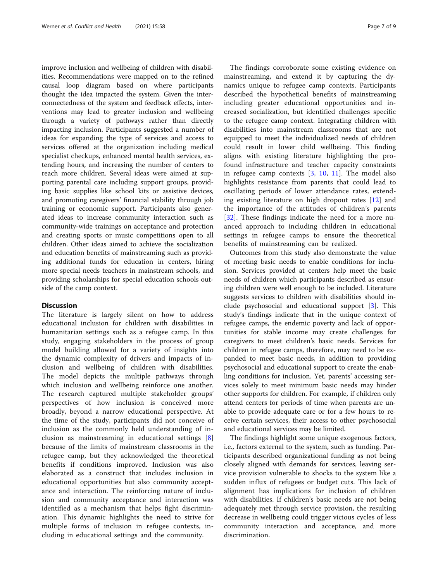improve inclusion and wellbeing of children with disabilities. Recommendations were mapped on to the refined causal loop diagram based on where participants thought the idea impacted the system. Given the interconnectedness of the system and feedback effects, interventions may lead to greater inclusion and wellbeing through a variety of pathways rather than directly impacting inclusion. Participants suggested a number of ideas for expanding the type of services and access to services offered at the organization including medical specialist checkups, enhanced mental health services, extending hours, and increasing the number of centers to reach more children. Several ideas were aimed at supporting parental care including support groups, providing basic supplies like school kits or assistive devices, and promoting caregivers' financial stability through job training or economic support. Participants also generated ideas to increase community interaction such as community-wide trainings on acceptance and protection and creating sports or music competitions open to all children. Other ideas aimed to achieve the socialization and education benefits of mainstreaming such as providing additional funds for education in centers, hiring more special needs teachers in mainstream schools, and providing scholarships for special education schools outside of the camp context.

#### **Discussion**

The literature is largely silent on how to address educational inclusion for children with disabilities in humanitarian settings such as a refugee camp. In this study, engaging stakeholders in the process of group model building allowed for a variety of insights into the dynamic complexity of drivers and impacts of inclusion and wellbeing of children with disabilities. The model depicts the multiple pathways through which inclusion and wellbeing reinforce one another. The research captured multiple stakeholder groups' perspectives of how inclusion is conceived more broadly, beyond a narrow educational perspective. At the time of the study, participants did not conceive of inclusion as the commonly held understanding of inclusion as mainstreaming in educational settings [\[8](#page-8-0)] because of the limits of mainstream classrooms in the refugee camp, but they acknowledged the theoretical benefits if conditions improved. Inclusion was also elaborated as a construct that includes inclusion in educational opportunities but also community acceptance and interaction. The reinforcing nature of inclusion and community acceptance and interaction was identified as a mechanism that helps fight discrimination. This dynamic highlights the need to strive for multiple forms of inclusion in refugee contexts, including in educational settings and the community.

The findings corroborate some existing evidence on mainstreaming, and extend it by capturing the dynamics unique to refugee camp contexts. Participants described the hypothetical benefits of mainstreaming including greater educational opportunities and increased socialization, but identified challenges specific to the refugee camp context. Integrating children with disabilities into mainstream classrooms that are not equipped to meet the individualized needs of children could result in lower child wellbeing. This finding aligns with existing literature highlighting the profound infrastructure and teacher capacity constraints in refugee camp contexts  $[3, 10, 11]$  $[3, 10, 11]$  $[3, 10, 11]$  $[3, 10, 11]$  $[3, 10, 11]$ . The model also highlights resistance from parents that could lead to oscillating periods of lower attendance rates, extending existing literature on high dropout rates [[12\]](#page-8-0) and the importance of the attitudes of children's parents [[32\]](#page-8-0). These findings indicate the need for a more nuanced approach to including children in educational settings in refugee camps to ensure the theoretical benefits of mainstreaming can be realized.

Outcomes from this study also demonstrate the value of meeting basic needs to enable conditions for inclusion. Services provided at centers help meet the basic needs of children which participants described as ensuring children were well enough to be included. Literature suggests services to children with disabilities should include psychosocial and educational support [\[3](#page-8-0)]. This study's findings indicate that in the unique context of refugee camps, the endemic poverty and lack of opportunities for stable income may create challenges for caregivers to meet children's basic needs. Services for children in refugee camps, therefore, may need to be expanded to meet basic needs, in addition to providing psychosocial and educational support to create the enabling conditions for inclusion. Yet, parents' accessing services solely to meet minimum basic needs may hinder other supports for children. For example, if children only attend centers for periods of time when parents are unable to provide adequate care or for a few hours to receive certain services, their access to other psychosocial and educational services may be limited.

The findings highlight some unique exogenous factors, i.e., factors external to the system, such as funding. Participants described organizational funding as not being closely aligned with demands for services, leaving service provision vulnerable to shocks to the system like a sudden influx of refugees or budget cuts. This lack of alignment has implications for inclusion of children with disabilities. If children's basic needs are not being adequately met through service provision, the resulting decrease in wellbeing could trigger vicious cycles of less community interaction and acceptance, and more discrimination.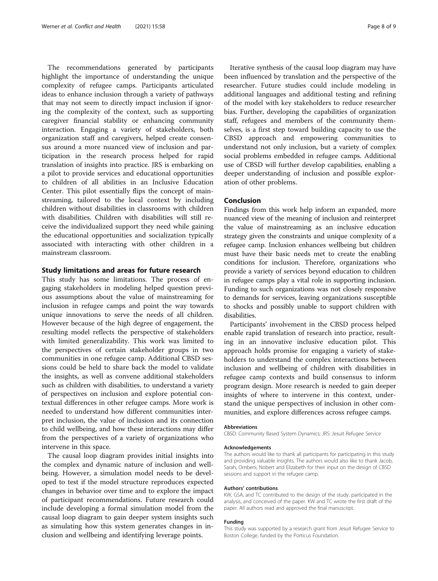The recommendations generated by participants highlight the importance of understanding the unique complexity of refugee camps. Participants articulated ideas to enhance inclusion through a variety of pathways that may not seem to directly impact inclusion if ignoring the complexity of the context, such as supporting caregiver financial stability or enhancing community interaction. Engaging a variety of stakeholders, both organization staff and caregivers, helped create consensus around a more nuanced view of inclusion and participation in the research process helped for rapid translation of insights into practice. JRS is embarking on a pilot to provide services and educational opportunities to children of all abilities in an Inclusive Education Center. This pilot essentially flips the concept of mainstreaming, tailored to the local context by including children without disabilities in classrooms with children with disabilities. Children with disabilities will still receive the individualized support they need while gaining the educational opportunities and socialization typically associated with interacting with other children in a mainstream classroom.

#### Study limitations and areas for future research

This study has some limitations. The process of engaging stakeholders in modeling helped question previous assumptions about the value of mainstreaming for inclusion in refugee camps and point the way towards unique innovations to serve the needs of all children. However because of the high degree of engagement, the resulting model reflects the perspective of stakeholders with limited generalizability. This work was limited to the perspectives of certain stakeholder groups in two communities in one refugee camp. Additional CBSD sessions could be held to share back the model to validate the insights, as well as convene additional stakeholders such as children with disabilities, to understand a variety of perspectives on inclusion and explore potential contextual differences in other refugee camps. More work is needed to understand how different communities interpret inclusion, the value of inclusion and its connection to child wellbeing, and how these interactions may differ from the perspectives of a variety of organizations who intervene in this space.

The causal loop diagram provides initial insights into the complex and dynamic nature of inclusion and wellbeing. However, a simulation model needs to be developed to test if the model structure reproduces expected changes in behavior over time and to explore the impact of participant recommendations. Future research could include developing a formal simulation model from the causal loop diagram to gain deeper system insights such as simulating how this system generates changes in inclusion and wellbeing and identifying leverage points.

Iterative synthesis of the causal loop diagram may have been influenced by translation and the perspective of the researcher. Future studies could include modeling in additional languages and additional testing and refining of the model with key stakeholders to reduce researcher bias. Further, developing the capabilities of organization staff, refugees and members of the community themselves, is a first step toward building capacity to use the CBSD approach and empowering communities to understand not only inclusion, but a variety of complex social problems embedded in refugee camps. Additional use of CBSD will further develop capabilities, enabling a deeper understanding of inclusion and possible exploration of other problems.

#### Conclusion

Findings from this work help inform an expanded, more nuanced view of the meaning of inclusion and reinterpret the value of mainstreaming as an inclusive education strategy given the constraints and unique complexity of a refugee camp. Inclusion enhances wellbeing but children must have their basic needs met to create the enabling conditions for inclusion. Therefore, organizations who provide a variety of services beyond education to children in refugee camps play a vital role in supporting inclusion. Funding to such organizations was not closely responsive to demands for services, leaving organizations susceptible to shocks and possibly unable to support children with disabilities.

Participants' involvement in the CBSD process helped enable rapid translation of research into practice, resulting in an innovative inclusive education pilot. This approach holds promise for engaging a variety of stakeholders to understand the complex interactions between inclusion and wellbeing of children with disabilities in refugee camp contexts and build consensus to inform program design. More research is needed to gain deeper insights of where to intervene in this context, understand the unique perspectives of inclusion in other communities, and explore differences across refugee camps.

#### Abbreviations

CBSD: Community Based System Dynamics; JRS: Jesuit Refugee Service

#### Acknowledgements

The authors would like to thank all participants for participating in this study and providing valuable insights. The authors would also like to thank Jacob, Sarah, Ombeni, Nobert and Elizabeth for their input on the design of CBSD sessions and support in the refugee camp.

#### Authors' contributions

KW, GSA, and TC contributed to the design of the study, participated in the analysis, and conceived of the paper. KW and TC wrote the first draft of the paper. All authors read and approved the final manuscript.

#### Funding

This study was supported by a research grant from Jesuit Refugee Service to Boston College, funded by the Porticus Foundation.